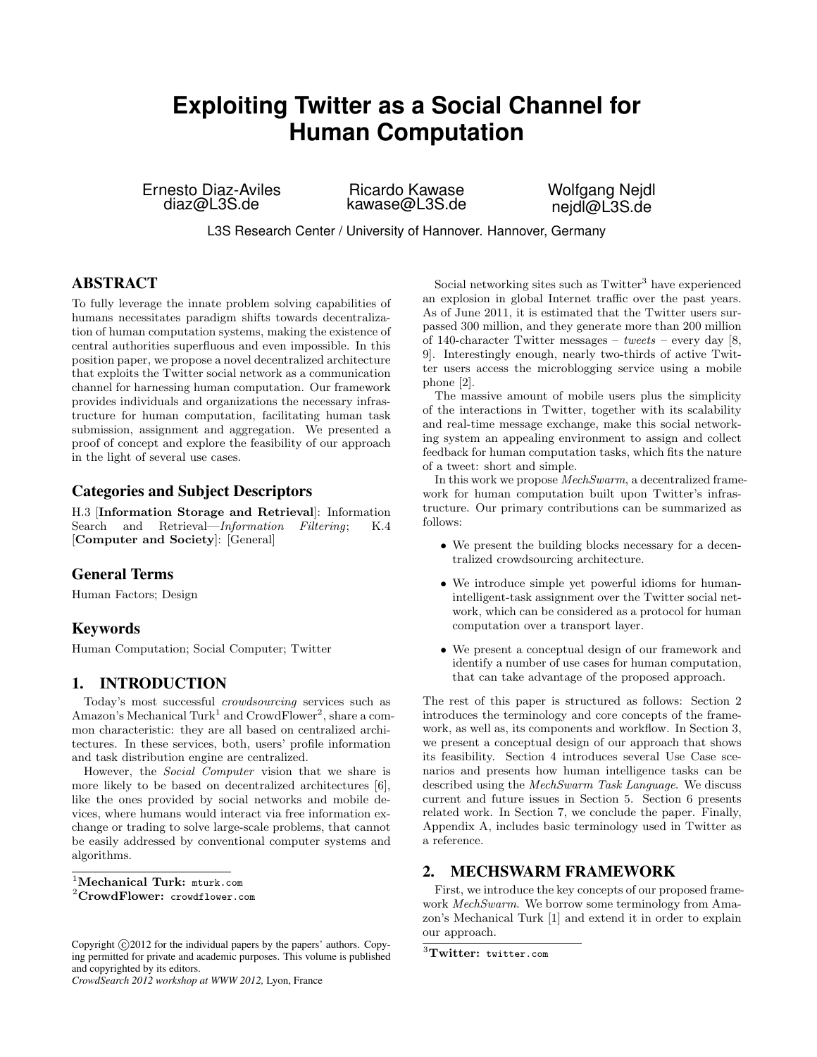# **Exploiting Twitter as a Social Channel for Human Computation**

Ernesto Diaz-Aviles diaz@L3S.de

Ricardo Kawase kawase@L3S.de Wolfgang Nejdl neidl@L3S.de

L3S Research Center / University of Hannover. Hannover, Germany

# ABSTRACT

To fully leverage the innate problem solving capabilities of humans necessitates paradigm shifts towards decentralization of human computation systems, making the existence of central authorities superfluous and even impossible. In this position paper, we propose a novel decentralized architecture that exploits the Twitter social network as a communication channel for harnessing human computation. Our framework provides individuals and organizations the necessary infrastructure for human computation, facilitating human task submission, assignment and aggregation. We presented a proof of concept and explore the feasibility of our approach in the light of several use cases.

# Categories and Subject Descriptors

H.3 [Information Storage and Retrieval]: Information Search and Retrieval—Information Filtering; K.4 [Computer and Society]: [General]

# General Terms

Human Factors; Design

# Keywords

Human Computation; Social Computer; Twitter

# 1. INTRODUCTION

Today's most successful crowdsourcing services such as Amazon's Mechanical Turk<sup>[1](#page-0-0)</sup> and CrowdFlower<sup>[2](#page-0-1)</sup>, share a common characteristic: they are all based on centralized architectures. In these services, both, users' profile information and task distribution engine are centralized.

However, the Social Computer vision that we share is more likely to be based on decentralized architectures [\[6\]](#page-4-0), like the ones provided by social networks and mobile devices, where humans would interact via free information exchange or trading to solve large-scale problems, that cannot be easily addressed by conventional computer systems and algorithms.

<span id="page-0-0"></span><sup>1</sup>Mechanical Turk: <mturk.com>

<span id="page-0-1"></span><sup>2</sup>CrowdFlower: <crowdflower.com>

*CrowdSearch 2012 workshop at WWW 2012,* Lyon, France

Social networking sites such as Twitter<sup>[3](#page-0-2)</sup> have experienced an explosion in global Internet traffic over the past years. As of June 2011, it is estimated that the Twitter users surpassed 300 million, and they generate more than 200 million of 140-character Twitter messages – tweets – every day [\[8,](#page-4-1) [9\]](#page-4-2). Interestingly enough, nearly two-thirds of active Twitter users access the microblogging service using a mobile phone [\[2\]](#page-4-3).

The massive amount of mobile users plus the simplicity of the interactions in Twitter, together with its scalability and real-time message exchange, make this social networking system an appealing environment to assign and collect feedback for human computation tasks, which fits the nature of a tweet: short and simple.

In this work we propose MechSwarm, a decentralized framework for human computation built upon Twitter's infrastructure. Our primary contributions can be summarized as follows:

- We present the building blocks necessary for a decentralized crowdsourcing architecture.
- We introduce simple yet powerful idioms for humanintelligent-task assignment over the Twitter social network, which can be considered as a protocol for human computation over a transport layer.
- We present a conceptual design of our framework and identify a number of use cases for human computation, that can take advantage of the proposed approach.

The rest of this paper is structured as follows: Section [2](#page-0-3) introduces the terminology and core concepts of the framework, as well as, its components and workflow. In Section [3,](#page-2-0) we present a conceptual design of our approach that shows its feasibility. Section [4](#page-2-1) introduces several Use Case scenarios and presents how human intelligence tasks can be described using the MechSwarm Task Language. We discuss current and future issues in Section [5.](#page-3-0) Section [6](#page-3-1) presents related work. In Section [7,](#page-3-2) we conclude the paper. Finally, Appendix A, includes basic terminology used in Twitter as a reference.

### <span id="page-0-3"></span>2. MECHSWARM FRAMEWORK

First, we introduce the key concepts of our proposed framework MechSwarm. We borrow some terminology from Amazon's Mechanical Turk [\[1\]](#page-4-4) and extend it in order to explain our approach.

Copyright  $\odot$  2012 for the individual papers by the papers' authors. Copying permitted for private and academic purposes. This volume is published and copyrighted by its editors.

<span id="page-0-2"></span> ${}^{3}$ Twitter: <twitter.com>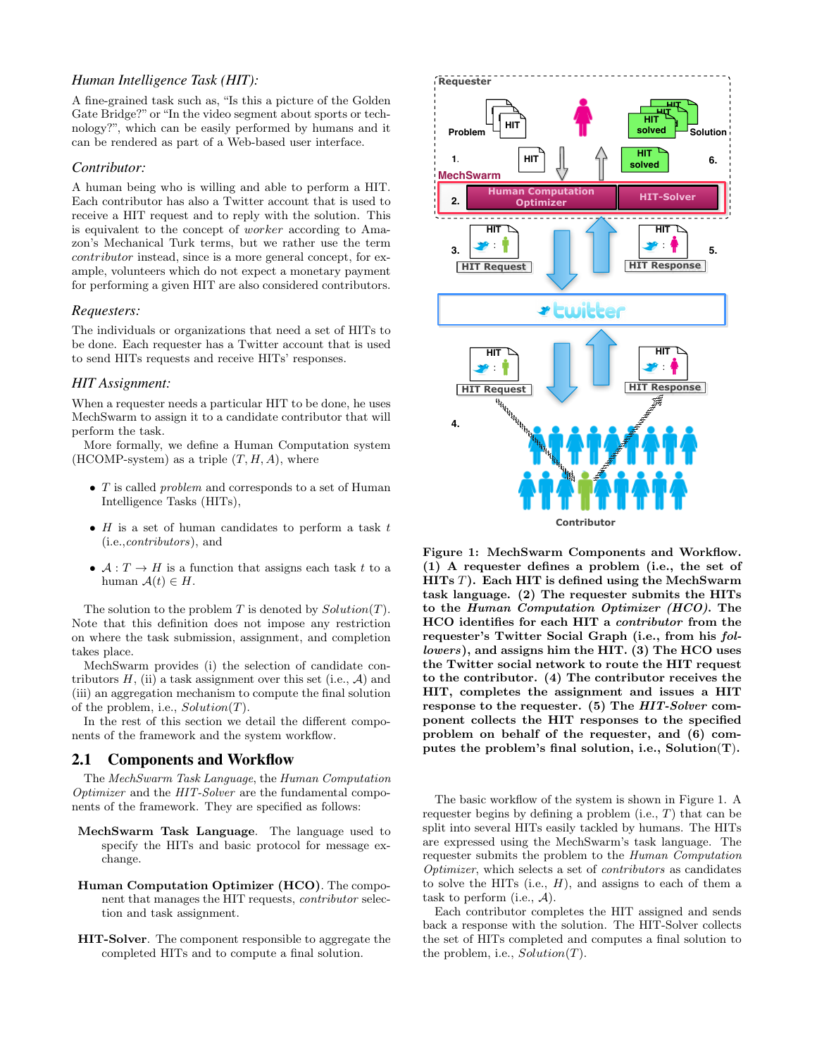### *Human Intelligence Task (HIT):*

A fine-grained task such as, "Is this a picture of the Golden Gate Bridge?" or "In the video segment about sports or technology?", which can be easily performed by humans and it can be rendered as part of a Web-based user interface.

#### *Contributor:*

A human being who is willing and able to perform a HIT. Each contributor has also a Twitter account that is used to receive a HIT request and to reply with the solution. This is equivalent to the concept of worker according to Amazon's Mechanical Turk terms, but we rather use the term contributor instead, since is a more general concept, for example, volunteers which do not expect a monetary payment for performing a given HIT are also considered contributors.

#### *Requesters:*

The individuals or organizations that need a set of HITs to be done. Each requester has a Twitter account that is used to send HITs requests and receive HITs' responses.

#### *HIT Assignment:*

When a requester needs a particular HIT to be done, he uses MechSwarm to assign it to a candidate contributor that will perform the task.

More formally, we define a Human Computation system (HCOMP-system) as a triple  $(T, H, A)$ , where

- $T$  is called *problem* and corresponds to a set of Human Intelligence Tasks (HITs),
- $H$  is a set of human candidates to perform a task  $t$ (i.e.,contributors), and
- $\mathcal{A}: T \to H$  is a function that assigns each task t to a human  $\mathcal{A}(t) \in H$ .

The solution to the problem  $T$  is denoted by  $Solution(T)$ . Note that this definition does not impose any restriction on where the task submission, assignment, and completion takes place.

MechSwarm provides (i) the selection of candidate contributors  $H$ , (ii) a task assignment over this set (i.e.,  $A$ ) and (iii) an aggregation mechanism to compute the final solution of the problem, i.e.,  $Solution(T)$ .

In the rest of this section we detail the different components of the framework and the system workflow.

#### 2.1 Components and Workflow

The MechSwarm Task Language, the Human Computation Optimizer and the HIT-Solver are the fundamental components of the framework. They are specified as follows:

- MechSwarm Task Language. The language used to specify the HITs and basic protocol for message exchange.
- Human Computation Optimizer (HCO). The component that manages the HIT requests, contributor selection and task assignment.
- HIT-Solver. The component responsible to aggregate the completed HITs and to compute a final solution.



<span id="page-1-0"></span>Figure 1: MechSwarm Components and Workflow. (1) A requester defines a problem (i.e., the set of HITs  $T$ ). Each HIT is defined using the MechSwarm task language. (2) The requester submits the HITs to the Human Computation Optimizer (HCO). The HCO identifies for each HIT a contributor from the requester's Twitter Social Graph (i.e., from his followers), and assigns him the HIT. (3) The HCO uses the Twitter social network to route the HIT request to the contributor. (4) The contributor receives the HIT, completes the assignment and issues a HIT response to the requester. (5) The HIT-Solver component collects the HIT responses to the specified problem on behalf of the requester, and (6) computes the problem's final solution, i.e., Solution(T).

The basic workflow of the system is shown in Figure [1.](#page-1-0) A requester begins by defining a problem (i.e.,  $T$ ) that can be split into several HITs easily tackled by humans. The HITs are expressed using the MechSwarm's task language. The requester submits the problem to the Human Computation Optimizer, which selects a set of contributors as candidates to solve the HITs (i.e.,  $H$ ), and assigns to each of them a task to perform (i.e.,  $A$ ).

Each contributor completes the HIT assigned and sends back a response with the solution. The HIT-Solver collects the set of HITs completed and computes a final solution to the problem, i.e.,  $Solution(T)$ .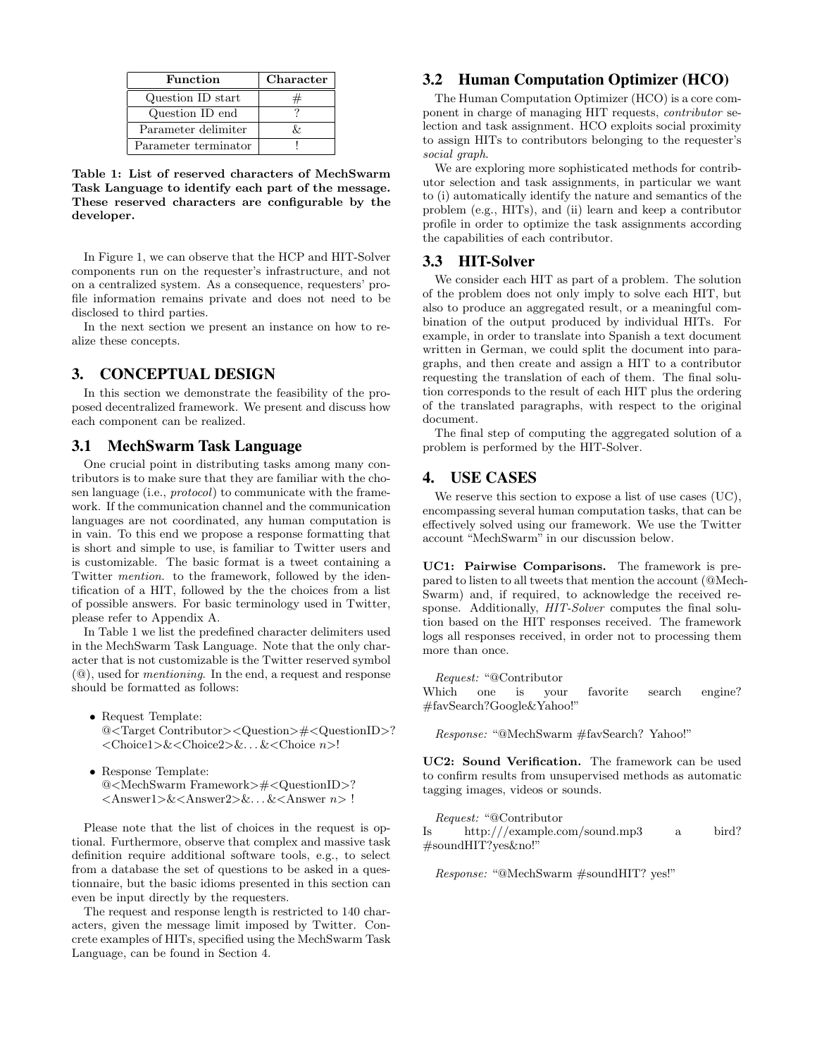| <b>Function</b>      | Character |
|----------------------|-----------|
| Question ID start    |           |
| Question ID end      |           |
| Parameter delimiter  |           |
| Parameter terminator |           |

<span id="page-2-2"></span>Table 1: List of reserved characters of MechSwarm Task Language to identify each part of the message. These reserved characters are configurable by the developer.

In Figure [1,](#page-1-0) we can observe that the HCP and HIT-Solver components run on the requester's infrastructure, and not on a centralized system. As a consequence, requesters' profile information remains private and does not need to be disclosed to third parties.

In the next section we present an instance on how to realize these concepts.

# <span id="page-2-0"></span>3. CONCEPTUAL DESIGN

In this section we demonstrate the feasibility of the proposed decentralized framework. We present and discuss how each component can be realized.

### 3.1 MechSwarm Task Language

One crucial point in distributing tasks among many contributors is to make sure that they are familiar with the chosen language (i.e., protocol) to communicate with the framework. If the communication channel and the communication languages are not coordinated, any human computation is in vain. To this end we propose a response formatting that is short and simple to use, is familiar to Twitter users and is customizable. The basic format is a tweet containing a Twitter mention. to the framework, followed by the identification of a HIT, followed by the the choices from a list of possible answers. For basic terminology used in Twitter, please refer to Appendix A.

In Table [1](#page-2-2) we list the predefined character delimiters used in the MechSwarm Task Language. Note that the only character that is not customizable is the Twitter reserved symbol (@), used for mentioning. In the end, a request and response should be formatted as follows:

- Request Template: @<Target Contributor><Question>#<QuestionID>? <Choice1>&<Choice2>&. . . &<Choice n>!
- Response Template: @<MechSwarm Framework>#<QuestionID>? <Answer1>&<Answer2>&. . . &<Answer n> !

Please note that the list of choices in the request is optional. Furthermore, observe that complex and massive task definition require additional software tools, e.g., to select from a database the set of questions to be asked in a questionnaire, but the basic idioms presented in this section can even be input directly by the requesters.

The request and response length is restricted to 140 characters, given the message limit imposed by Twitter. Concrete examples of HITs, specified using the MechSwarm Task Language, can be found in Section [4.](#page-2-1)

# 3.2 Human Computation Optimizer (HCO)

The Human Computation Optimizer (HCO) is a core component in charge of managing HIT requests, contributor selection and task assignment. HCO exploits social proximity to assign HITs to contributors belonging to the requester's social graph.

We are exploring more sophisticated methods for contributor selection and task assignments, in particular we want to (i) automatically identify the nature and semantics of the problem (e.g., HITs), and (ii) learn and keep a contributor profile in order to optimize the task assignments according the capabilities of each contributor.

### 3.3 HIT-Solver

We consider each HIT as part of a problem. The solution of the problem does not only imply to solve each HIT, but also to produce an aggregated result, or a meaningful combination of the output produced by individual HITs. For example, in order to translate into Spanish a text document written in German, we could split the document into paragraphs, and then create and assign a HIT to a contributor requesting the translation of each of them. The final solution corresponds to the result of each HIT plus the ordering of the translated paragraphs, with respect to the original document.

The final step of computing the aggregated solution of a problem is performed by the HIT-Solver.

#### <span id="page-2-1"></span>4. USE CASES

We reserve this section to expose a list of use cases (UC), encompassing several human computation tasks, that can be effectively solved using our framework. We use the Twitter account "MechSwarm" in our discussion below.

UC1: Pairwise Comparisons. The framework is prepared to listen to all tweets that mention the account (@Mech-Swarm) and, if required, to acknowledge the received response. Additionally,  $HIT-Solver$  computes the final solution based on the HIT responses received. The framework logs all responses received, in order not to processing them more than once.

Request: "@Contributor"<br>
hich one is vour Which one is your favorite search engine? #favSearch?Google&Yahoo!"

Response: "@MechSwarm #favSearch? Yahoo!"

UC2: Sound Verification. The framework can be used to confirm results from unsupervised methods as automatic tagging images, videos or sounds.

Request: "@Contributor Is http:///example.com/sound.mp3 a bird? #soundHIT?yes&no!"

Response: "@MechSwarm #soundHIT? yes!"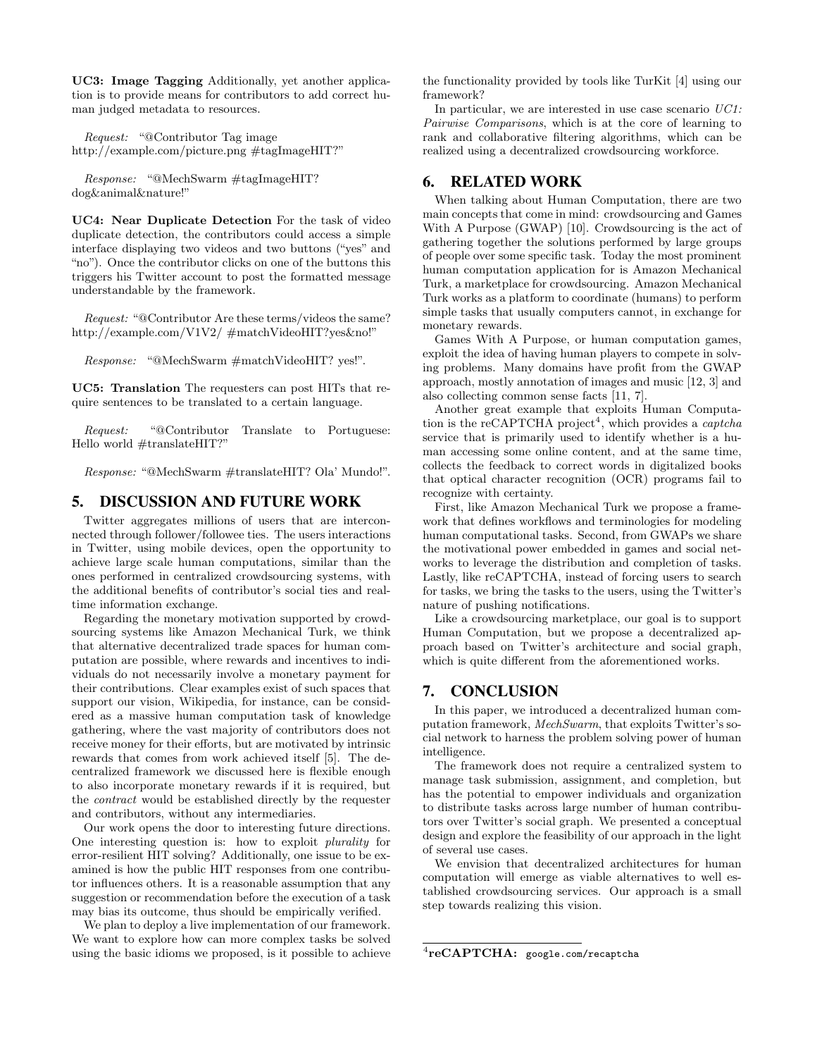UC3: Image Tagging Additionally, yet another application is to provide means for contributors to add correct human judged metadata to resources.

Request: "@Contributor Tag image http://example.com/picture.png #tagImageHIT?"

Response: "@MechSwarm #tagImageHIT? dog&animal&nature!"

UC4: Near Duplicate Detection For the task of video duplicate detection, the contributors could access a simple interface displaying two videos and two buttons ("yes" and "no"). Once the contributor clicks on one of the buttons this triggers his Twitter account to post the formatted message understandable by the framework.

Request: "@Contributor Are these terms/videos the same? http://example.com/V1V2/ #matchVideoHIT?yes&no!"

Response: "@MechSwarm #matchVideoHIT? yes!".

UC5: Translation The requesters can post HITs that require sentences to be translated to a certain language.

Request: "@Contributor Translate to Portuguese: Hello world #translateHIT?"

Response: "@MechSwarm #translateHIT? Ola' Mundo!".

#### <span id="page-3-0"></span>5. DISCUSSION AND FUTURE WORK

Twitter aggregates millions of users that are interconnected through follower/followee ties. The users interactions in Twitter, using mobile devices, open the opportunity to achieve large scale human computations, similar than the ones performed in centralized crowdsourcing systems, with the additional benefits of contributor's social ties and realtime information exchange.

Regarding the monetary motivation supported by crowdsourcing systems like Amazon Mechanical Turk, we think that alternative decentralized trade spaces for human computation are possible, where rewards and incentives to individuals do not necessarily involve a monetary payment for their contributions. Clear examples exist of such spaces that support our vision, Wikipedia, for instance, can be considered as a massive human computation task of knowledge gathering, where the vast majority of contributors does not receive money for their efforts, but are motivated by intrinsic rewards that comes from work achieved itself [\[5\]](#page-4-5). The decentralized framework we discussed here is flexible enough to also incorporate monetary rewards if it is required, but the contract would be established directly by the requester and contributors, without any intermediaries.

Our work opens the door to interesting future directions. One interesting question is: how to exploit plurality for error-resilient HIT solving? Additionally, one issue to be examined is how the public HIT responses from one contributor influences others. It is a reasonable assumption that any suggestion or recommendation before the execution of a task may bias its outcome, thus should be empirically verified.

We plan to deploy a live implementation of our framework. We want to explore how can more complex tasks be solved using the basic idioms we proposed, is it possible to achieve the functionality provided by tools like TurKit [\[4\]](#page-4-6) using our framework?

In particular, we are interested in use case scenario  $UC1$ : Pairwise Comparisons, which is at the core of learning to rank and collaborative filtering algorithms, which can be realized using a decentralized crowdsourcing workforce.

### <span id="page-3-1"></span>6. RELATED WORK

When talking about Human Computation, there are two main concepts that come in mind: crowdsourcing and Games With A Purpose (GWAP) [\[10\]](#page-4-7). Crowdsourcing is the act of gathering together the solutions performed by large groups of people over some specific task. Today the most prominent human computation application for is Amazon Mechanical Turk, a marketplace for crowdsourcing. Amazon Mechanical Turk works as a platform to coordinate (humans) to perform simple tasks that usually computers cannot, in exchange for monetary rewards.

Games With A Purpose, or human computation games, exploit the idea of having human players to compete in solving problems. Many domains have profit from the GWAP approach, mostly annotation of images and music [\[12,](#page-4-8) [3\]](#page-4-9) and also collecting common sense facts [\[11,](#page-4-10) [7\]](#page-4-11).

Another great example that exploits Human Computa-tion is the reCAPTCHA project<sup>[4](#page-3-3)</sup>, which provides a *captcha* service that is primarily used to identify whether is a human accessing some online content, and at the same time, collects the feedback to correct words in digitalized books that optical character recognition (OCR) programs fail to recognize with certainty.

First, like Amazon Mechanical Turk we propose a framework that defines workflows and terminologies for modeling human computational tasks. Second, from GWAPs we share the motivational power embedded in games and social networks to leverage the distribution and completion of tasks. Lastly, like reCAPTCHA, instead of forcing users to search for tasks, we bring the tasks to the users, using the Twitter's nature of pushing notifications.

Like a crowdsourcing marketplace, our goal is to support Human Computation, but we propose a decentralized approach based on Twitter's architecture and social graph, which is quite different from the aforementioned works.

# <span id="page-3-2"></span>7. CONCLUSION

In this paper, we introduced a decentralized human computation framework, MechSwarm, that exploits Twitter's social network to harness the problem solving power of human intelligence.

The framework does not require a centralized system to manage task submission, assignment, and completion, but has the potential to empower individuals and organization to distribute tasks across large number of human contributors over Twitter's social graph. We presented a conceptual design and explore the feasibility of our approach in the light of several use cases.

We envision that decentralized architectures for human computation will emerge as viable alternatives to well established crowdsourcing services. Our approach is a small step towards realizing this vision.

<span id="page-3-3"></span> ${\rm ^4 reCAPTCHA:\ }$  <google.com/recaptcha>